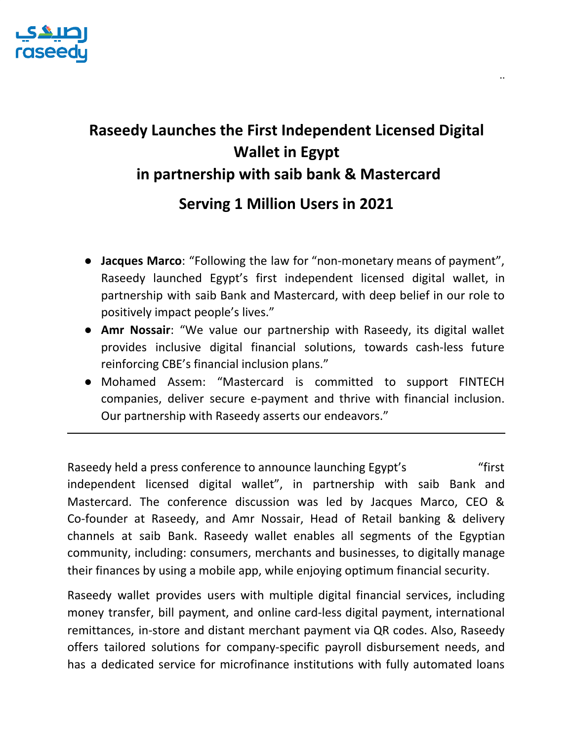

## **Raseedy Launches the First Independent Licensed Digital Wallet in Egypt in partnership with saib bank & Mastercard**

..

## **Serving 1 Million Users in 2021**

- **Jacques Marco**: "Following the law for "non-monetary means of payment", Raseedy launched Egypt's first independent licensed digital wallet, in partnership with saib Bank and Mastercard, with deep belief in our role to positively impact people's lives."
- **Amr Nossair**: "We value our partnership with Raseedy, its digital wallet provides inclusive digital financial solutions, towards cash-less future reinforcing CBE's financial inclusion plans."
- Mohamed Assem: "Mastercard is committed to support FINTECH companies, deliver secure e-payment and thrive with financial inclusion. Our partnership with Raseedy asserts our endeavors."

Raseedy held a press conference to announce launching Egypt's "first" independent licensed digital wallet", in partnership with saib Bank and Mastercard. The conference discussion was led by Jacques Marco, CEO & Co-founder at Raseedy, and Amr Nossair, Head of Retail banking & delivery channels at saib Bank. Raseedy wallet enables all segments of the Egyptian community, including: consumers, merchants and businesses, to digitally manage their finances by using a mobile app, while enjoying optimum financial security.

Raseedy wallet provides users with multiple digital financial services, including money transfer, bill payment, and online card-less digital payment, international remittances, in-store and distant merchant payment via QR codes. Also, Raseedy offers tailored solutions for company-specific payroll disbursement needs, and has a dedicated service for microfinance institutions with fully automated loans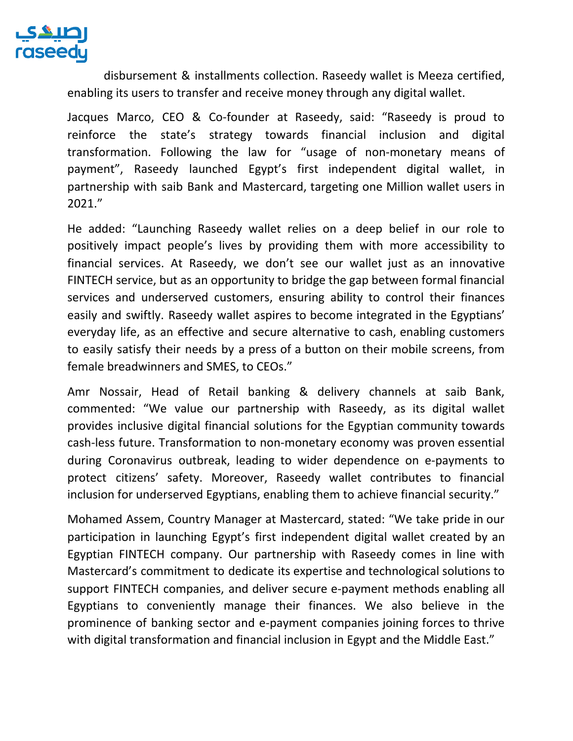

disbursement & installments collection. Raseedy wallet is Meeza certified, enabling its users to transfer and receive money through any digital wallet.

Jacques Marco, CEO & Co-founder at Raseedy, said: "Raseedy is proud to reinforce the state's strategy towards financial inclusion and digital transformation. Following the law for "usage of non-monetary means of payment", Raseedy launched Egypt's first independent digital wallet, in partnership with saib Bank and Mastercard, targeting one Million wallet users in 2021."

He added: "Launching Raseedy wallet relies on a deep belief in our role to positively impact people's lives by providing them with more accessibility to financial services. At Raseedy, we don't see our wallet just as an innovative FINTECH service, but as an opportunity to bridge the gap between formal financial services and underserved customers, ensuring ability to control their finances easily and swiftly. Raseedy wallet aspires to become integrated in the Egyptians' everyday life, as an effective and secure alternative to cash, enabling customers to easily satisfy their needs by a press of a button on their mobile screens, from female breadwinners and SMES, to CEOs."

Amr Nossair, Head of Retail banking & delivery channels at saib Bank, commented: "We value our partnership with Raseedy, as its digital wallet provides inclusive digital financial solutions for the Egyptian community towards cash-less future. Transformation to non-monetary economy was proven essential during Coronavirus outbreak, leading to wider dependence on e-payments to protect citizens' safety. Moreover, Raseedy wallet contributes to financial inclusion for underserved Egyptians, enabling them to achieve financial security."

Mohamed Assem, Country Manager at Mastercard, stated: "We take pride in our participation in launching Egypt's first independent digital wallet created by an Egyptian FINTECH company. Our partnership with Raseedy comes in line with Mastercard's commitment to dedicate its expertise and technological solutions to support FINTECH companies, and deliver secure e-payment methods enabling all Egyptians to conveniently manage their finances. We also believe in the prominence of banking sector and e-payment companies joining forces to thrive with digital transformation and financial inclusion in Egypt and the Middle East."